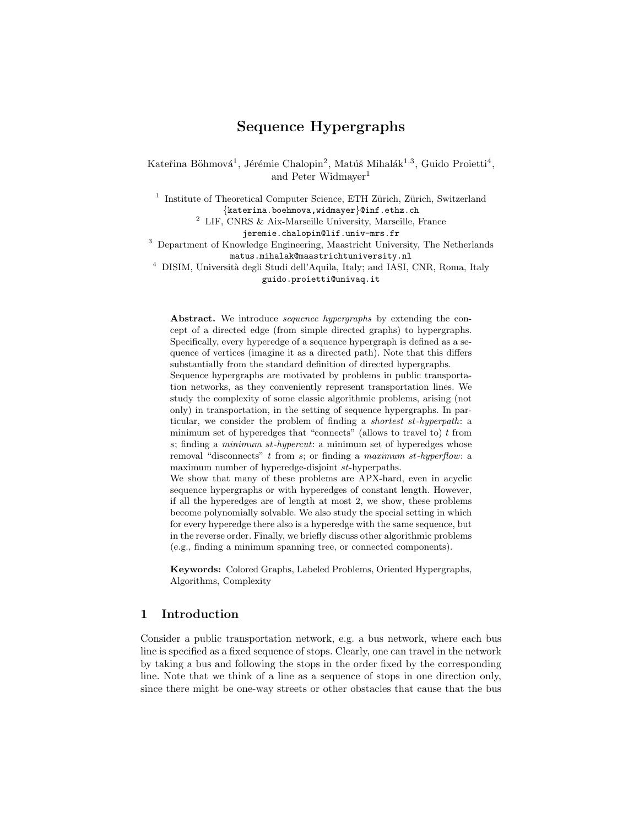# Sequence Hypergraphs

Kateřina Böhmová<sup>1</sup>, Jérémie Chalopin<sup>2</sup>, Matúš Mihalák<sup>1,3</sup>, Guido Proietti<sup>4</sup>, and Peter Widmayer<sup>1</sup>

<sup>1</sup> Institute of Theoretical Computer Science, ETH Zürich, Zürich, Switzerland {katerina.boehmova,widmayer}@inf.ethz.ch

 $^2$  LIF, CNRS & Aix-Marseille University, Marseille, France

jeremie.chalopin@lif.univ-mrs.fr

<sup>3</sup> Department of Knowledge Engineering, Maastricht University, The Netherlands matus.mihalak@maastrichtuniversity.nl

<sup>4</sup> DISIM, Università degli Studi dell'Aquila, Italy; and IASI, CNR, Roma, Italy guido.proietti@univaq.it

Abstract. We introduce *sequence hypergraphs* by extending the concept of a directed edge (from simple directed graphs) to hypergraphs. Specifically, every hyperedge of a sequence hypergraph is defined as a sequence of vertices (imagine it as a directed path). Note that this differs substantially from the standard definition of directed hypergraphs. Sequence hypergraphs are motivated by problems in public transportation networks, as they conveniently represent transportation lines. We study the complexity of some classic algorithmic problems, arising (not only) in transportation, in the setting of sequence hypergraphs. In particular, we consider the problem of finding a shortest st-hyperpath: a minimum set of hyperedges that "connects" (allows to travel to)  $t$  from s; finding a minimum st-hypercut: a minimum set of hyperedges whose removal "disconnects" t from s; or finding a maximum st-hyperflow: a maximum number of hyperedge-disjoint st-hyperpaths. We show that many of these problems are APX-hard, even in acyclic

sequence hypergraphs or with hyperedges of constant length. However, if all the hyperedges are of length at most 2, we show, these problems become polynomially solvable. We also study the special setting in which for every hyperedge there also is a hyperedge with the same sequence, but in the reverse order. Finally, we briefly discuss other algorithmic problems (e.g., finding a minimum spanning tree, or connected components).

Keywords: Colored Graphs, Labeled Problems, Oriented Hypergraphs, Algorithms, Complexity

## 1 Introduction

Consider a public transportation network, e.g. a bus network, where each bus line is specified as a fixed sequence of stops. Clearly, one can travel in the network by taking a bus and following the stops in the order fixed by the corresponding line. Note that we think of a line as a sequence of stops in one direction only, since there might be one-way streets or other obstacles that cause that the bus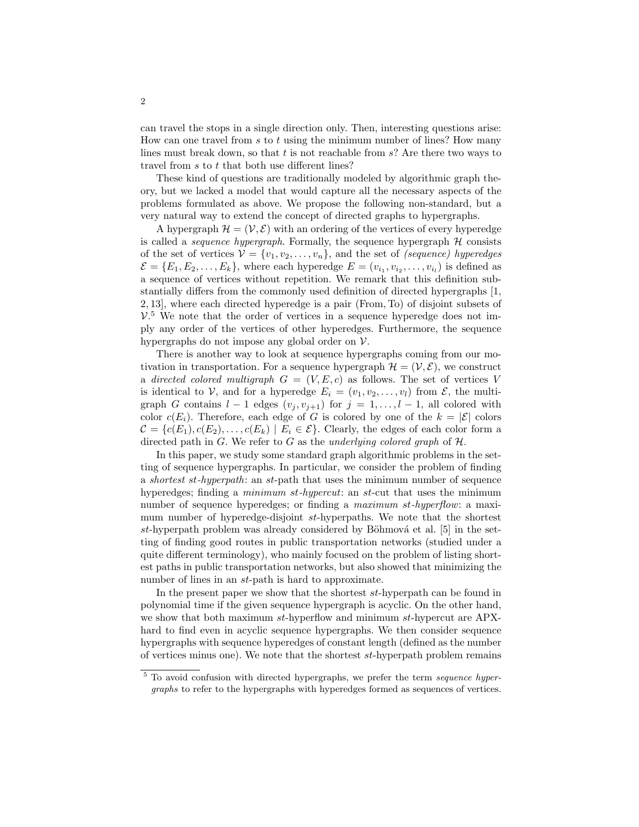can travel the stops in a single direction only. Then, interesting questions arise: How can one travel from s to t using the minimum number of lines? How many lines must break down, so that t is not reachable from  $s$ ? Are there two ways to travel from s to t that both use different lines?

These kind of questions are traditionally modeled by algorithmic graph theory, but we lacked a model that would capture all the necessary aspects of the problems formulated as above. We propose the following non-standard, but a very natural way to extend the concept of directed graphs to hypergraphs.

A hypergraph  $\mathcal{H} = (\mathcal{V}, \mathcal{E})$  with an ordering of the vertices of every hyperedge is called a *sequence hypergraph*. Formally, the sequence hypergraph  $H$  consists of the set of vertices  $V = \{v_1, v_2, \ldots, v_n\}$ , and the set of *(sequence) hyperedges*  $\mathcal{E} = \{E_1, E_2, \ldots, E_k\}$ , where each hyperedge  $E = (v_{i_1}, v_{i_2}, \ldots, v_{i_l})$  is defined as a sequence of vertices without repetition. We remark that this definition substantially differs from the commonly used definition of directed hypergraphs [1, 2, 13], where each directed hyperedge is a pair (From, To) of disjoint subsets of  $V<sup>5</sup>$  We note that the order of vertices in a sequence hyperedge does not imply any order of the vertices of other hyperedges. Furthermore, the sequence hypergraphs do not impose any global order on V.

There is another way to look at sequence hypergraphs coming from our motivation in transportation. For a sequence hypergraph  $\mathcal{H} = (\mathcal{V}, \mathcal{E})$ , we construct a directed colored multigraph  $G = (V, E, c)$  as follows. The set of vertices V is identical to V, and for a hyperedge  $E_i = (v_1, v_2, \ldots, v_l)$  from  $\mathcal{E}$ , the multigraph G contains  $l - 1$  edges  $(v_j, v_{j+1})$  for  $j = 1, \ldots, l - 1$ , all colored with color  $c(E_i)$ . Therefore, each edge of G is colored by one of the  $k = |\mathcal{E}|$  colors  $\mathcal{C} = \{c(E_1), c(E_2), \ldots, c(E_k) \mid E_i \in \mathcal{E}\}\)$ . Clearly, the edges of each color form a directed path in  $G$ . We refer to  $G$  as the underlying colored graph of  $H$ .

In this paper, we study some standard graph algorithmic problems in the setting of sequence hypergraphs. In particular, we consider the problem of finding a shortest st-hyperpath: an st-path that uses the minimum number of sequence hyperedges; finding a *minimum st-hypercut*: an *st*-cut that uses the minimum number of sequence hyperedges; or finding a *maximum st-hyperflow*: a maximum number of hyperedge-disjoint st-hyperpaths. We note that the shortest st-hyperpath problem was already considered by Böhmová et al. [5] in the setting of finding good routes in public transportation networks (studied under a quite different terminology), who mainly focused on the problem of listing shortest paths in public transportation networks, but also showed that minimizing the number of lines in an st-path is hard to approximate.

In the present paper we show that the shortest st-hyperpath can be found in polynomial time if the given sequence hypergraph is acyclic. On the other hand, we show that both maximum st-hyperflow and minimum st-hypercut are APXhard to find even in acyclic sequence hypergraphs. We then consider sequence hypergraphs with sequence hyperedges of constant length (defined as the number of vertices minus one). We note that the shortest st-hyperpath problem remains

 $5$  To avoid confusion with directed hypergraphs, we prefer the term sequence hypergraphs to refer to the hypergraphs with hyperedges formed as sequences of vertices.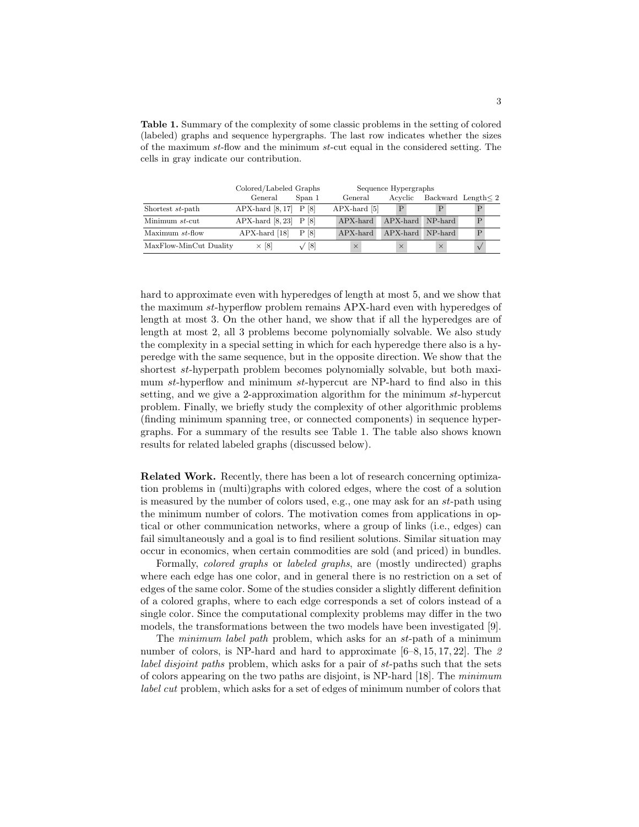|                        | Colored/Labeled Graphs     |            | Sequence Hypergraphs |             |          |                          |
|------------------------|----------------------------|------------|----------------------|-------------|----------|--------------------------|
|                        | General                    | Span 1     | General              | Acyclic     |          | Backward Length $\leq 2$ |
| Shortest st-path       | APX-hard $[8, 17]$ P $[8]$ |            | $APX$ -hard [5]      |             |          |                          |
| Minimum st-cut         | APX-hard $[8, 23]$ P $[8]$ |            | $APX$ -hard          | $APX$ -hard | NP-hard  | P                        |
| Maximum st-flow        | $APX$ -hard [18]           | P [8]      | $APX$ -hard          | $APX$ -hard | NP-hard  | P                        |
| MaxFlow-MinCut Duality | $\times$ [8]               | $\sqrt{8}$ | $\times$             | $\times$    | $\times$ |                          |

Table 1. Summary of the complexity of some classic problems in the setting of colored (labeled) graphs and sequence hypergraphs. The last row indicates whether the sizes of the maximum st-flow and the minimum st-cut equal in the considered setting. The cells in gray indicate our contribution.

hard to approximate even with hyperedges of length at most 5, and we show that the maximum st-hyperflow problem remains APX-hard even with hyperedges of length at most 3. On the other hand, we show that if all the hyperedges are of length at most 2, all 3 problems become polynomially solvable. We also study the complexity in a special setting in which for each hyperedge there also is a hyperedge with the same sequence, but in the opposite direction. We show that the shortest st-hyperpath problem becomes polynomially solvable, but both maximum st-hyperflow and minimum st-hypercut are NP-hard to find also in this setting, and we give a 2-approximation algorithm for the minimum st-hypercut problem. Finally, we briefly study the complexity of other algorithmic problems (finding minimum spanning tree, or connected components) in sequence hypergraphs. For a summary of the results see Table 1. The table also shows known results for related labeled graphs (discussed below).

Related Work. Recently, there has been a lot of research concerning optimization problems in (multi)graphs with colored edges, where the cost of a solution is measured by the number of colors used, e.g., one may ask for an st-path using the minimum number of colors. The motivation comes from applications in optical or other communication networks, where a group of links (i.e., edges) can fail simultaneously and a goal is to find resilient solutions. Similar situation may occur in economics, when certain commodities are sold (and priced) in bundles.

Formally, colored graphs or labeled graphs, are (mostly undirected) graphs where each edge has one color, and in general there is no restriction on a set of edges of the same color. Some of the studies consider a slightly different definition of a colored graphs, where to each edge corresponds a set of colors instead of a single color. Since the computational complexity problems may differ in the two models, the transformations between the two models have been investigated [9].

The minimum label path problem, which asks for an st-path of a minimum number of colors, is NP-hard and hard to approximate [6–8, 15, 17, 22]. The 2 label disjoint paths problem, which asks for a pair of st-paths such that the sets of colors appearing on the two paths are disjoint, is NP-hard [18]. The minimum label cut problem, which asks for a set of edges of minimum number of colors that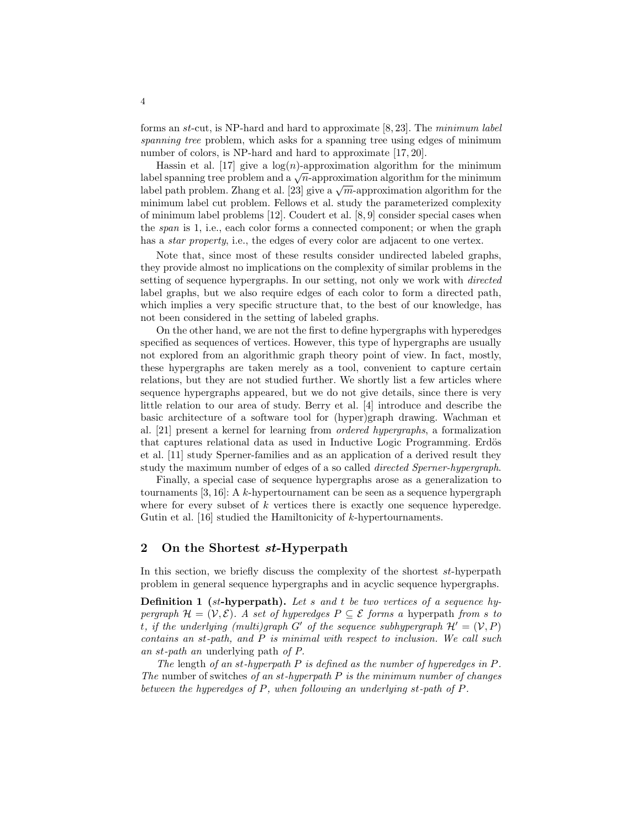forms an st-cut, is NP-hard and hard to approximate  $[8, 23]$ . The minimum label spanning tree problem, which asks for a spanning tree using edges of minimum number of colors, is NP-hard and hard to approximate [17, 20].

Hassin et al. [17] give a  $log(n)$ -approximation algorithm for the minimum label spanning tree problem and a  $\sqrt{n}$ -approximation algorithm for the minimum label path problem. Zhang et al. [23] give a  $\sqrt{m}$ -approximation algorithm for the minimum label cut problem. Fellows et al. study the parameterized complexity of minimum label problems [12]. Coudert et al. [8, 9] consider special cases when the span is 1, i.e., each color forms a connected component; or when the graph has a *star property*, i.e., the edges of every color are adjacent to one vertex.

Note that, since most of these results consider undirected labeled graphs, they provide almost no implications on the complexity of similar problems in the setting of sequence hypergraphs. In our setting, not only we work with *directed* label graphs, but we also require edges of each color to form a directed path, which implies a very specific structure that, to the best of our knowledge, has not been considered in the setting of labeled graphs.

On the other hand, we are not the first to define hypergraphs with hyperedges specified as sequences of vertices. However, this type of hypergraphs are usually not explored from an algorithmic graph theory point of view. In fact, mostly, these hypergraphs are taken merely as a tool, convenient to capture certain relations, but they are not studied further. We shortly list a few articles where sequence hypergraphs appeared, but we do not give details, since there is very little relation to our area of study. Berry et al. [4] introduce and describe the basic architecture of a software tool for (hyper)graph drawing. Wachman et al. [21] present a kernel for learning from ordered hypergraphs, a formalization that captures relational data as used in Inductive Logic Programming. Erdös et al. [11] study Sperner-families and as an application of a derived result they study the maximum number of edges of a so called *directed Sperner-hypergraph*.

Finally, a special case of sequence hypergraphs arose as a generalization to tournaments [3, 16]: A k-hypertournament can be seen as a sequence hypergraph where for every subset of  $k$  vertices there is exactly one sequence hyperedge. Gutin et al. [16] studied the Hamiltonicity of k-hypertournaments.

# 2 On the Shortest st-Hyperpath

In this section, we briefly discuss the complexity of the shortest  $st$ -hyperpath problem in general sequence hypergraphs and in acyclic sequence hypergraphs.

**Definition 1** (st-hyperpath). Let s and t be two vertices of a sequence hypergraph  $\mathcal{H} = (\mathcal{V}, \mathcal{E})$ . A set of hyperedges  $P \subseteq \mathcal{E}$  forms a hyperpath from s to t, if the underlying (multi)graph G' of the sequence subhypergraph  $\mathcal{H}' = (\mathcal{V}, P)$ contains an st-path, and P is minimal with respect to inclusion. We call such an st-path an underlying path of P.

The length of an st-hyperpath P is defined as the number of hyperedges in  $P$ . The number of switches of an st-hyperpath  $P$  is the minimum number of changes between the hyperedges of P, when following an underlying st-path of P.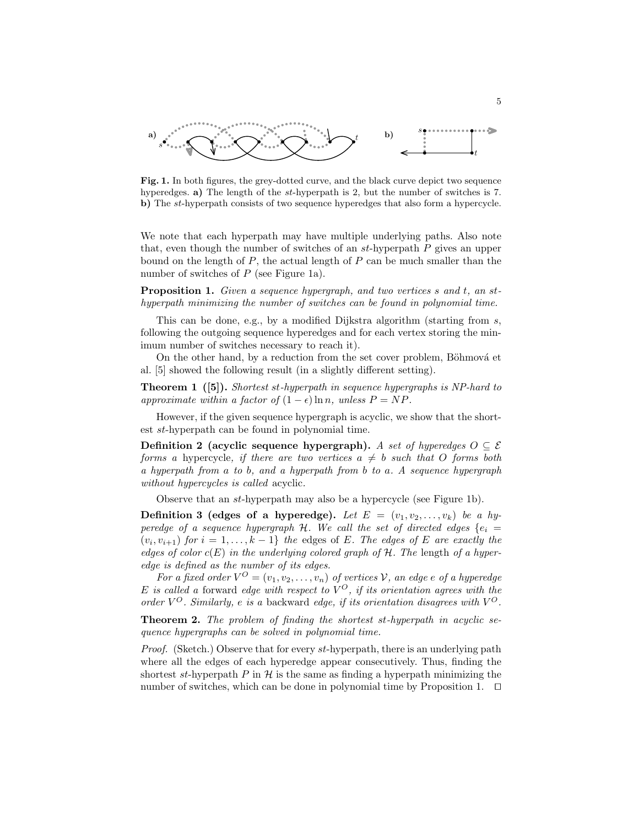

Fig. 1. In both figures, the grey-dotted curve, and the black curve depict two sequence hyperedges. a) The length of the st-hyperpath is 2, but the number of switches is 7. b) The st-hyperpath consists of two sequence hyperedges that also form a hypercycle.

We note that each hyperpath may have multiple underlying paths. Also note that, even though the number of switches of an  $st$ -hyperpath  $P$  gives an upper bound on the length of  $P$ , the actual length of  $P$  can be much smaller than the number of switches of  $P$  (see Figure 1a).

Proposition 1. Given a sequence hypergraph, and two vertices s and t, an sthyperpath minimizing the number of switches can be found in polynomial time.

This can be done, e.g., by a modified Dijkstra algorithm (starting from s, following the outgoing sequence hyperedges and for each vertex storing the minimum number of switches necessary to reach it).

On the other hand, by a reduction from the set cover problem, Böhmová et al. [5] showed the following result (in a slightly different setting).

Theorem 1 ([5]). Shortest st-hyperpath in sequence hypergraphs is NP-hard to approximate within a factor of  $(1 - \epsilon) \ln n$ , unless  $P = NP$ .

However, if the given sequence hypergraph is acyclic, we show that the shortest st-hyperpath can be found in polynomial time.

Definition 2 (acyclic sequence hypergraph). A set of hyperedges  $O \subseteq \mathcal{E}$ forms a hypercycle, if there are two vertices  $a \neq b$  such that O forms both a hyperpath from a to b, and a hyperpath from b to a. A sequence hypergraph without hypercycles is called acyclic.

Observe that an st-hyperpath may also be a hypercycle (see Figure 1b).

Definition 3 (edges of a hyperedge). Let  $E = (v_1, v_2, \ldots, v_k)$  be a hyperedge of a sequence hypergraph H. We call the set of directed edges  $\{e_i =$  $(v_i, v_{i+1})$  for  $i = 1, ..., k-1$  the edges of E. The edges of E are exactly the edges of color  $c(E)$  in the underlying colored graph of H. The length of a hyperedge is defined as the number of its edges.

For a fixed order  $V^O = (v_1, v_2, \ldots, v_n)$  of vertices  $V$ , an edge e of a hyperedge E is called a forward edge with respect to  $V^O$ , if its orientation agrees with the order  $V^O$ . Similarly, e is a backward edge, if its orientation disagrees with  $V^O$ .

Theorem 2. The problem of finding the shortest st-hyperpath in acyclic sequence hypergraphs can be solved in polynomial time.

Proof. (Sketch.) Observe that for every st-hyperpath, there is an underlying path where all the edges of each hyperedge appear consecutively. Thus, finding the shortest st-hyperpath P in  $\mathcal{H}$  is the same as finding a hyperpath minimizing the number of switches, which can be done in polynomial time by Proposition 1.  $\Box$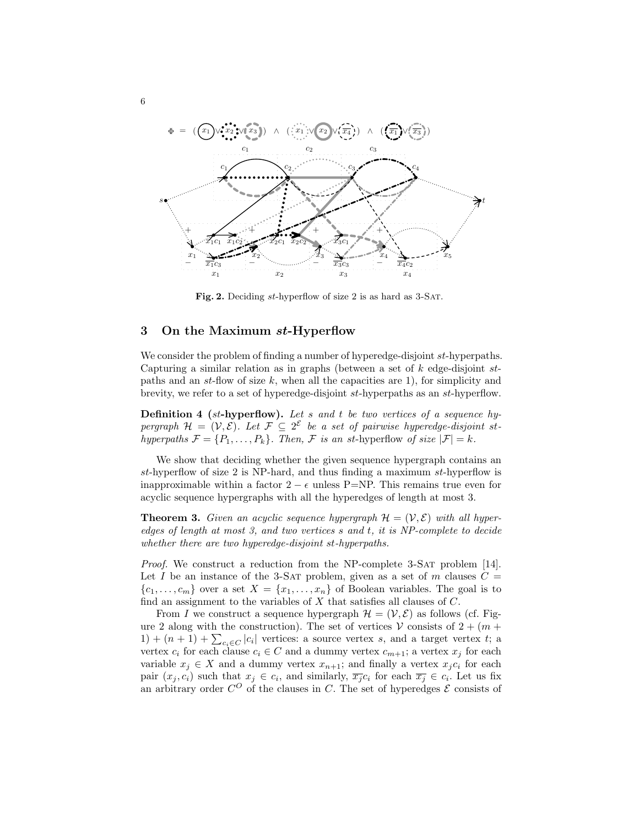

Fig. 2. Deciding st-hyperflow of size 2 is as hard as 3-SAT.

#### 3 On the Maximum st-Hyperflow

We consider the problem of finding a number of hyperedge-disjoint st-hyperpaths. Capturing a similar relation as in graphs (between a set of  $k$  edge-disjoint stpaths and an st-flow of size  $k$ , when all the capacities are 1), for simplicity and brevity, we refer to a set of hyperedge-disjoint st-hyperpaths as an st-hyperflow.

**Definition 4 (st-hyperflow).** Let s and t be two vertices of a sequence hypergraph  $\mathcal{H} = (\mathcal{V}, \mathcal{E})$ . Let  $\mathcal{F} \subseteq 2^{\mathcal{E}}$  be a set of pairwise hyperedge-disjoint sthyperpaths  $\mathcal{F} = \{P_1, \ldots, P_k\}$ . Then,  $\mathcal{F}$  is an st-hyperflow of size  $|\mathcal{F}| = k$ .

We show that deciding whether the given sequence hypergraph contains an  $st$ -hyperflow of size 2 is NP-hard, and thus finding a maximum  $st$ -hyperflow is inapproximable within a factor  $2 - \epsilon$  unless P=NP. This remains true even for acyclic sequence hypergraphs with all the hyperedges of length at most 3.

**Theorem 3.** Given an acyclic sequence hypergraph  $\mathcal{H} = (\mathcal{V}, \mathcal{E})$  with all hyperedges of length at most 3, and two vertices s and t, it is NP-complete to decide whether there are two hyperedge-disjoint st-hyperpaths.

Proof. We construct a reduction from the NP-complete 3-SAT problem [14]. Let I be an instance of the 3-SAT problem, given as a set of m clauses  $C =$  ${c_1, \ldots, c_m}$  over a set  $X = {x_1, \ldots, x_n}$  of Boolean variables. The goal is to find an assignment to the variables of  $X$  that satisfies all clauses of  $C$ .

From I we construct a sequence hypergraph  $\mathcal{H} = (\mathcal{V}, \mathcal{E})$  as follows (cf. Figure 2 along with the construction). The set of vertices V consists of  $2 + (m +$ 1) +  $(n + 1)$  +  $\sum_{c_i \in C} |c_i|$  vertices: a source vertex s, and a target vertex t; a vertex  $c_i$  for each clause  $c_i \in C$  and a dummy vertex  $c_{m+1}$ ; a vertex  $x_j$  for each variable  $x_j \in X$  and a dummy vertex  $x_{n+1}$ ; and finally a vertex  $x_j c_i$  for each pair  $(x_j, c_i)$  such that  $x_j \in c_i$ , and similarly,  $\overline{x_j}c_i$  for each  $\overline{x_j} \in c_i$ . Let us fix an arbitrary order  $C^O$  of the clauses in C. The set of hyperedges  $\mathcal E$  consists of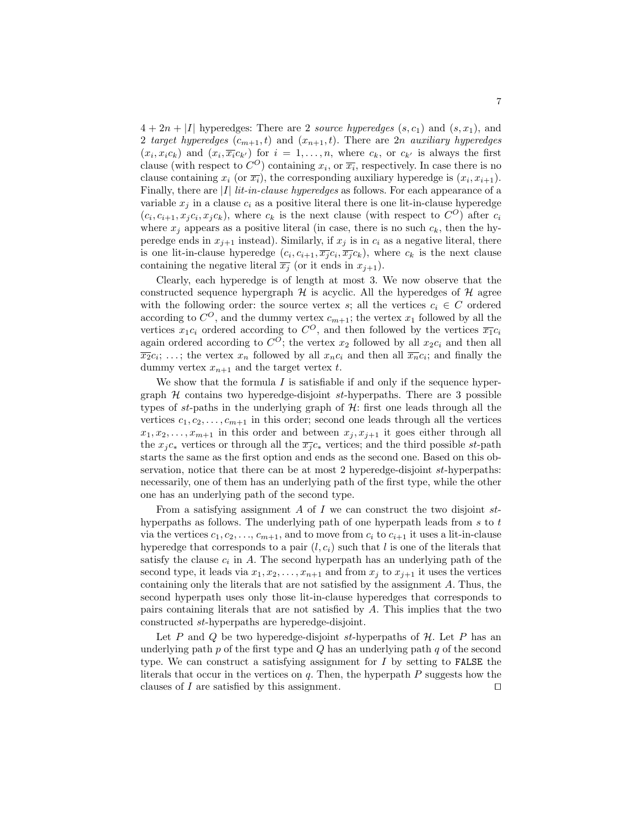$4+2n+|I|$  hyperedges: There are 2 source hyperedges  $(s, c_1)$  and  $(s, x_1)$ , and 2 target hyperedges  $(c_{m+1}, t)$  and  $(x_{n+1}, t)$ . There are 2n auxiliary hyperedges  $(x_i, x_i c_k)$  and  $(x_i, \overline{x_i} c_{k'})$  for  $i = 1, \ldots, n$ , where  $c_k$ , or  $c_{k'}$  is always the first clause (with respect to  $C^O$ ) containing  $x_i$ , or  $\overline{x_i}$ , respectively. In case there is no clause containing  $x_i$  (or  $\overline{x_i}$ ), the corresponding auxiliary hyperedge is  $(x_i, x_{i+1})$ . Finally, there are  $|I|$  lit-in-clause hyperedges as follows. For each appearance of a variable  $x_i$  in a clause  $c_i$  as a positive literal there is one lit-in-clause hyperedge  $(c_i, c_{i+1}, x_j c_i, x_j c_k)$ , where  $c_k$  is the next clause (with respect to  $C^O$ ) after  $c_i$ where  $x_i$  appears as a positive literal (in case, there is no such  $c_k$ , then the hyperedge ends in  $x_{j+1}$  instead). Similarly, if  $x_j$  is in  $c_i$  as a negative literal, there is one lit-in-clause hyperedge  $(c_i, c_{i+1}, \overline{x_j}c_i, \overline{x_j}c_k)$ , where  $c_k$  is the next clause containing the negative literal  $\overline{x_i}$  (or it ends in  $x_{j+1}$ ).

Clearly, each hyperedge is of length at most 3. We now observe that the constructed sequence hypergraph  $H$  is acyclic. All the hyperedges of  $H$  agree with the following order: the source vertex s; all the vertices  $c_i \in C$  ordered according to  $C^O$ , and the dummy vertex  $c_{m+1}$ ; the vertex  $x_1$  followed by all the vertices  $x_1c_i$  ordered according to  $C^O$ , and then followed by the vertices  $\overline{x_1}c_i$ again ordered according to  $C^O$ ; the vertex  $x_2$  followed by all  $x_2c_i$  and then all  $\overline{x_2}c_i$ ; ...; the vertex  $x_n$  followed by all  $x_nc_i$  and then all  $\overline{x_n}c_i$ ; and finally the dummy vertex  $x_{n+1}$  and the target vertex t.

We show that the formula I is satisfiable if and only if the sequence hypergraph  $H$  contains two hyperedge-disjoint st-hyperpaths. There are 3 possible types of st-paths in the underlying graph of  $H$ : first one leads through all the vertices  $c_1, c_2, \ldots, c_{m+1}$  in this order; second one leads through all the vertices  $x_1, x_2, \ldots, x_{m+1}$  in this order and between  $x_i, x_{i+1}$  it goes either through all the  $x_i c_*$  vertices or through all the  $\overline{x_i} c_*$  vertices; and the third possible st-path starts the same as the first option and ends as the second one. Based on this observation, notice that there can be at most 2 hyperedge-disjoint st-hyperpaths: necessarily, one of them has an underlying path of the first type, while the other one has an underlying path of the second type.

From a satisfying assignment A of I we can construct the two disjoint  $st$ hyperpaths as follows. The underlying path of one hyperpath leads from  $s$  to  $t$ via the vertices  $c_1, c_2, \ldots, c_{m+1}$ , and to move from  $c_i$  to  $c_{i+1}$  it uses a lit-in-clause hyperedge that corresponds to a pair  $(l, c_i)$  such that l is one of the literals that satisfy the clause  $c_i$  in A. The second hyperpath has an underlying path of the second type, it leads via  $x_1, x_2, \ldots, x_{n+1}$  and from  $x_j$  to  $x_{j+1}$  it uses the vertices containing only the literals that are not satisfied by the assignment A. Thus, the second hyperpath uses only those lit-in-clause hyperedges that corresponds to pairs containing literals that are not satisfied by  $A$ . This implies that the two constructed st-hyperpaths are hyperedge-disjoint.

Let  $P$  and  $Q$  be two hyperedge-disjoint st-hyperpaths of  $H$ . Let  $P$  has an underlying path  $p$  of the first type and  $Q$  has an underlying path  $q$  of the second type. We can construct a satisfying assignment for  $I$  by setting to FALSE the literals that occur in the vertices on  $q$ . Then, the hyperpath  $P$  suggests how the clauses of I are satisfied by this assignment.  $\Box$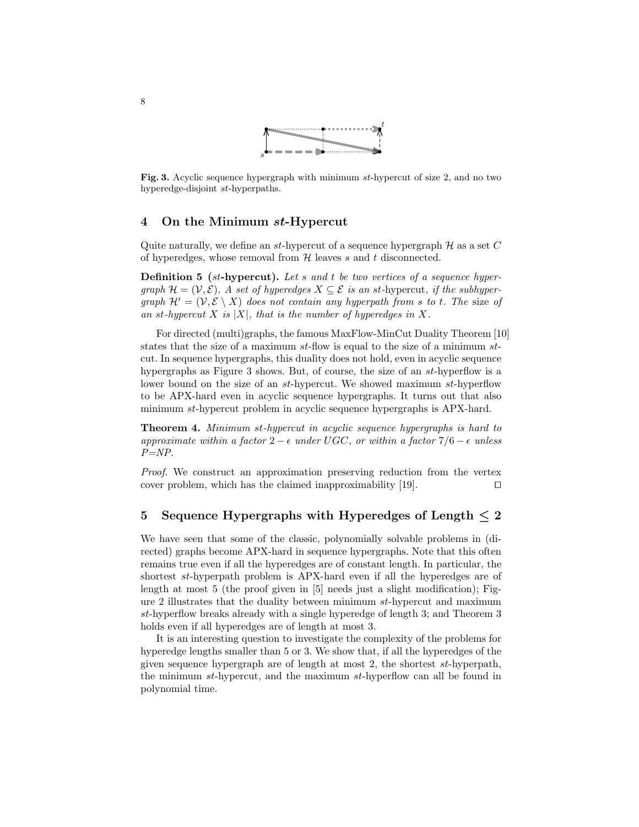

Fig. 3. Acyclic sequence hypergraph with minimum st-hypercut of size 2, and no two hyperedge-disjoint st-hyperpaths.

### 4 On the Minimum st-Hypercut

Quite naturally, we define an st-hypercut of a sequence hypergraph  $H$  as a set C of hyperedges, whose removal from  $H$  leaves s and t disconnected.

**Definition 5** (st-hypercut). Let s and t be two vertices of a sequence hypergraph  $\mathcal{H} = (\mathcal{V}, \mathcal{E})$ . A set of hyperedges  $X \subseteq \mathcal{E}$  is an st-hypercut, if the subhypergraph  $\mathcal{H}' = (\mathcal{V}, \mathcal{E} \setminus X)$  does not contain any hyperpath from s to t. The size of an st-hypercut X is  $|X|$ , that is the number of hyperedges in X.

For directed (multi)graphs, the famous MaxFlow-MinCut Duality Theorem [10] states that the size of a maximum st-flow is equal to the size of a minimum stcut. In sequence hypergraphs, this duality does not hold, even in acyclic sequence hypergraphs as Figure 3 shows. But, of course, the size of an st-hyperflow is a lower bound on the size of an st-hypercut. We showed maximum st-hyperflow to be APX-hard even in acyclic sequence hypergraphs. It turns out that also minimum st-hypercut problem in acyclic sequence hypergraphs is APX-hard.

Theorem 4. Minimum st-hypercut in acyclic sequence hypergraphs is hard to approximate within a factor  $2 - \epsilon$  under UGC, or within a factor  $7/6 - \epsilon$  unless  $P=NP$ .

Proof. We construct an approximation preserving reduction from the vertex cover problem, which has the claimed inapproximability [19].  $\Box$ 

## 5 Sequence Hypergraphs with Hyperedges of Length  $\leq 2$

We have seen that some of the classic, polynomially solvable problems in (directed) graphs become APX-hard in sequence hypergraphs. Note that this often remains true even if all the hyperedges are of constant length. In particular, the shortest st-hyperpath problem is APX-hard even if all the hyperedges are of length at most 5 (the proof given in [5] needs just a slight modification); Figure 2 illustrates that the duality between minimum st-hypercut and maximum st-hyperflow breaks already with a single hyperedge of length 3; and Theorem 3 holds even if all hyperedges are of length at most 3.

It is an interesting question to investigate the complexity of the problems for hyperedge lengths smaller than 5 or 3. We show that, if all the hyperedges of the given sequence hypergraph are of length at most 2, the shortest st-hyperpath, the minimum st-hypercut, and the maximum st-hyperflow can all be found in polynomial time.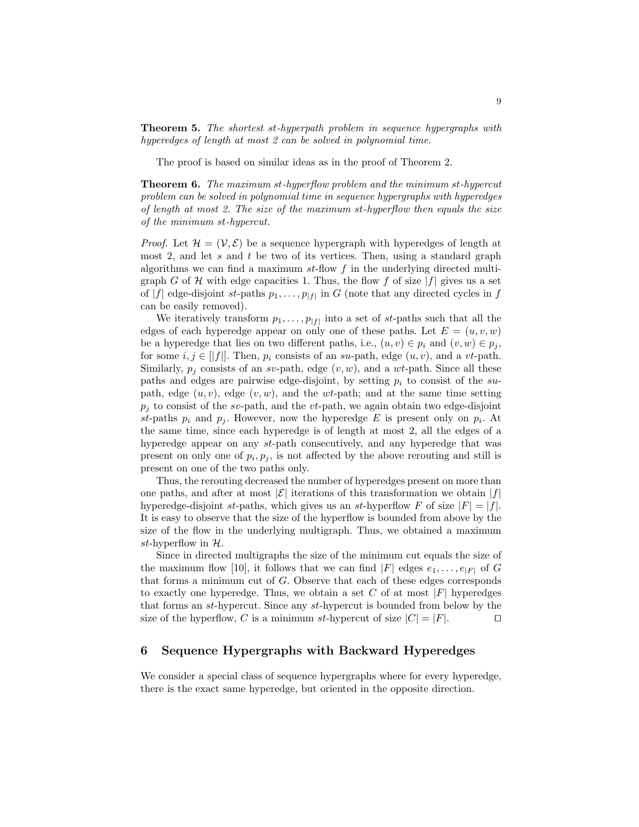**Theorem 5.** The shortest st-hyperpath problem in sequence hypergraphs with hyperedges of length at most 2 can be solved in polynomial time.

The proof is based on similar ideas as in the proof of Theorem 2.

Theorem 6. The maximum st-hyperflow problem and the minimum st-hypercut problem can be solved in polynomial time in sequence hypergraphs with hyperedges of length at most 2. The size of the maximum st-hyperflow then equals the size of the minimum st-hypercut.

*Proof.* Let  $\mathcal{H} = (\mathcal{V}, \mathcal{E})$  be a sequence hypergraph with hyperedges of length at most 2, and let s and t be two of its vertices. Then, using a standard graph algorithms we can find a maximum  $st$ -flow  $f$  in the underlying directed multigraph G of H with edge capacities 1. Thus, the flow f of size  $|f|$  gives us a set of  $|f|$  edge-disjoint st-paths  $p_1, \ldots, p_{|f|}$  in G (note that any directed cycles in f can be easily removed).

We iteratively transform  $p_1, \ldots, p_{|f|}$  into a set of st-paths such that all the edges of each hyperedge appear on only one of these paths. Let  $E = (u, v, w)$ be a hyperedge that lies on two different paths, i.e.,  $(u, v) \in p_i$  and  $(v, w) \in p_j$ , for some  $i, j \in [|f|]$ . Then,  $p_i$  consists of an su-path, edge  $(u, v)$ , and a vt-path. Similarly,  $p_i$  consists of an sv-path, edge  $(v, w)$ , and a wt-path. Since all these paths and edges are pairwise edge-disjoint, by setting  $p_i$  to consist of the supath, edge  $(u, v)$ , edge  $(v, w)$ , and the wt-path; and at the same time setting  $p_i$  to consist of the sv-path, and the vt-path, we again obtain two edge-disjoint st-paths  $p_i$  and  $p_j$ . However, now the hyperedge E is present only on  $p_i$ . At the same time, since each hyperedge is of length at most 2, all the edges of a hyperedge appear on any st-path consecutively, and any hyperedge that was present on only one of  $p_i, p_j$ , is not affected by the above rerouting and still is present on one of the two paths only.

Thus, the rerouting decreased the number of hyperedges present on more than one paths, and after at most  $|\mathcal{E}|$  iterations of this transformation we obtain  $|f|$ hyperedge-disjoint st-paths, which gives us an st-hyperflow F of size  $|F| = |f|$ . It is easy to observe that the size of the hyperflow is bounded from above by the size of the flow in the underlying multigraph. Thus, we obtained a maximum st-hyperflow in  $H$ .

Since in directed multigraphs the size of the minimum cut equals the size of the maximum flow [10], it follows that we can find |F| edges  $e_1, \ldots, e_{|F|}$  of G that forms a minimum cut of G. Observe that each of these edges corresponds to exactly one hyperedge. Thus, we obtain a set C of at most  $|F|$  hyperedges that forms an st-hypercut. Since any st-hypercut is bounded from below by the size of the hyperflow, C is a minimum st-hypercut of size  $|C| = |F|$ .

#### 6 Sequence Hypergraphs with Backward Hyperedges

We consider a special class of sequence hypergraphs where for every hyperedge, there is the exact same hyperedge, but oriented in the opposite direction.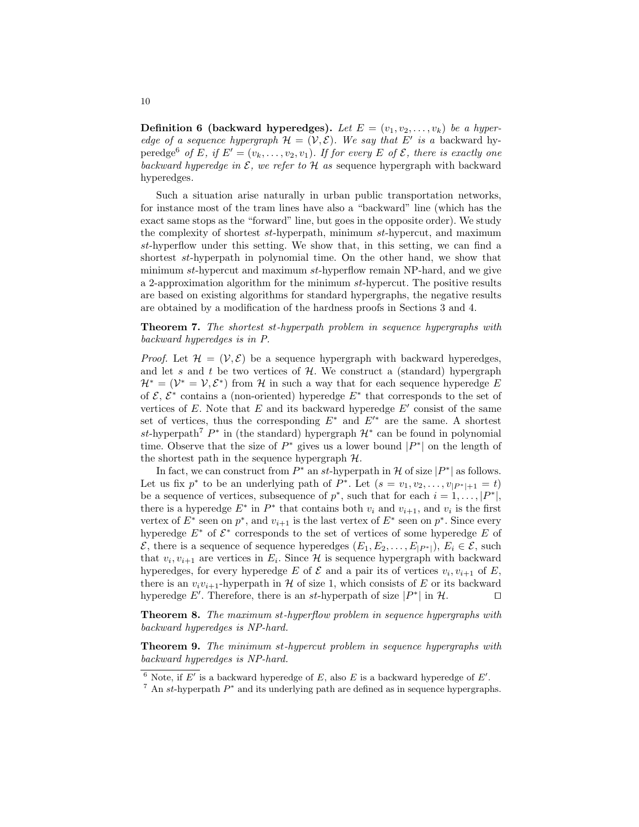**Definition 6 (backward hyperedges).** Let  $E = (v_1, v_2, \ldots, v_k)$  be a hyperedge of a sequence hypergraph  $\mathcal{H} = (\mathcal{V}, \mathcal{E})$ . We say that E' is a backward hyperedge<sup>6</sup> of E, if  $E' = (v_k, \ldots, v_2, v_1)$ . If for every E of  $\mathcal{E}$ , there is exactly one backward hyperedge in  $\mathcal{E}$ , we refer to  $\mathcal{H}$  as sequence hypergraph with backward hyperedges.

Such a situation arise naturally in urban public transportation networks, for instance most of the tram lines have also a "backward" line (which has the exact same stops as the "forward" line, but goes in the opposite order). We study the complexity of shortest st-hyperpath, minimum st-hypercut, and maximum st-hyperflow under this setting. We show that, in this setting, we can find a shortest st-hyperpath in polynomial time. On the other hand, we show that minimum st-hypercut and maximum st-hyperflow remain NP-hard, and we give a 2-approximation algorithm for the minimum st-hypercut. The positive results are based on existing algorithms for standard hypergraphs, the negative results are obtained by a modification of the hardness proofs in Sections 3 and 4.

#### **Theorem 7.** The shortest st-hyperpath problem in sequence hypergraphs with backward hyperedges is in P.

*Proof.* Let  $\mathcal{H} = (\mathcal{V}, \mathcal{E})$  be a sequence hypergraph with backward hyperedges, and let s and t be two vertices of  $H$ . We construct a (standard) hypergraph  $\mathcal{H}^* = (\mathcal{V}^* = \mathcal{V}, \mathcal{E}^*)$  from  $\mathcal{H}$  in such a way that for each sequence hyperedge E of  $\mathcal{E}, \, \mathcal{E}^*$  contains a (non-oriented) hyperedge  $E^*$  that corresponds to the set of vertices of  $E$ . Note that  $E$  and its backward hyperedge  $E'$  consist of the same set of vertices, thus the corresponding  $E^*$  and  $E'^*$  are the same. A shortest st-hyperpath<sup>7</sup>  $P^*$  in (the standard) hypergraph  $\mathcal{H}^*$  can be found in polynomial time. Observe that the size of  $P^*$  gives us a lower bound  $|P^*|$  on the length of the shortest path in the sequence hypergraph  $H$ .

In fact, we can construct from  $P^*$  an st-hyperpath in  $\mathcal H$  of size  $|P^*|$  as follows. Let us fix  $p^*$  to be an underlying path of  $P^*$ . Let  $(s = v_1, v_2, \ldots, v_{|P^*|+1} = t)$ be a sequence of vertices, subsequence of  $p^*$ , such that for each  $i = 1, ..., |P^*|$ , there is a hyperedge  $E^*$  in  $P^*$  that contains both  $v_i$  and  $v_{i+1}$ , and  $v_i$  is the first vertex of  $E^*$  seen on  $p^*$ , and  $v_{i+1}$  is the last vertex of  $E^*$  seen on  $p^*$ . Since every hyperedge  $E^*$  of  $\mathcal{E}^*$  corresponds to the set of vertices of some hyperedge  $E$  of  $\mathcal{E}$ , there is a sequence of sequence hyperedges  $(E_1, E_2, \ldots, E_{|P^*|}), E_i \in \mathcal{E}$ , such that  $v_i, v_{i+1}$  are vertices in  $E_i$ . Since  $\mathcal H$  is sequence hypergraph with backward hyperedges, for every hyperedge E of  $\mathcal E$  and a pair its of vertices  $v_i, v_{i+1}$  of E, there is an  $v_i v_{i+1}$ -hyperpath in H of size 1, which consists of E or its backward hyperedge E'. Therefore, there is an st-hyperpath of size  $|P^*|$  in H. hyperedge E'. Therefore, there is an st-hyperpath of size  $|P^*|$  in  $\mathcal{H}$ .

Theorem 8. The maximum st-hyperflow problem in sequence hypergraphs with backward hyperedges is NP-hard.

Theorem 9. The minimum st-hypercut problem in sequence hypergraphs with backward hyperedges is NP-hard.

<sup>&</sup>lt;sup>6</sup> Note, if E' is a backward hyperedge of E, also E is a backward hyperedge of E'.

<sup>&</sup>lt;sup>7</sup> An st-hyperpath  $P^*$  and its underlying path are defined as in sequence hypergraphs.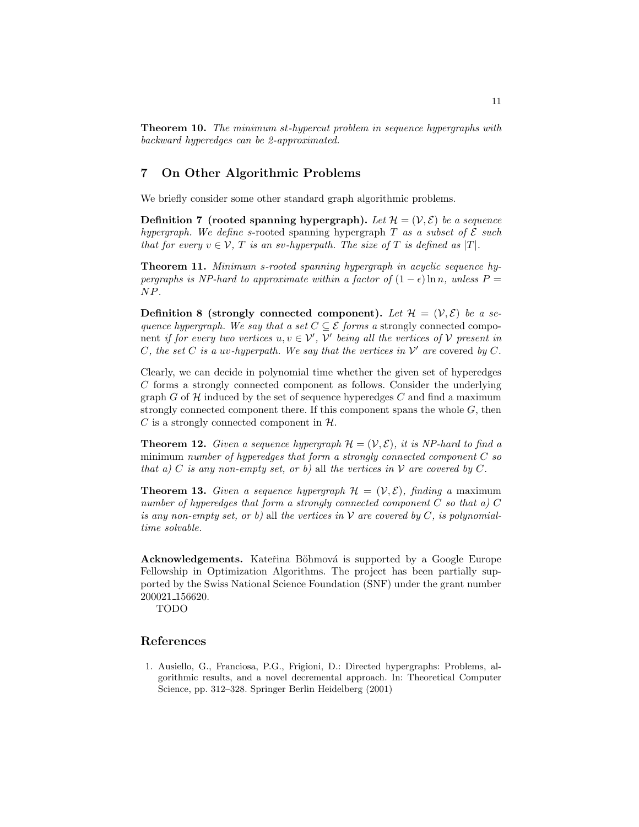Theorem 10. The minimum st-hypercut problem in sequence hypergraphs with backward hyperedges can be 2-approximated.

# 7 On Other Algorithmic Problems

We briefly consider some other standard graph algorithmic problems.

**Definition 7** (rooted spanning hypergraph). Let  $\mathcal{H} = (\mathcal{V}, \mathcal{E})$  be a sequence hypergraph. We define s-rooted spanning hypergraph  $T$  as a subset of  $\mathcal E$  such that for every  $v \in \mathcal{V}$ , T is an sv-hyperpath. The size of T is defined as |T|.

Theorem 11. Minimum s-rooted spanning hypergraph in acyclic sequence hypergraphs is NP-hard to approximate within a factor of  $(1 - \epsilon) \ln n$ , unless P = NP.

Definition 8 (strongly connected component). Let  $\mathcal{H} = (\mathcal{V}, \mathcal{E})$  be a sequence hypergraph. We say that a set  $C \subseteq \mathcal{E}$  forms a strongly connected component if for every two vertices  $u, v \in V'$ ,  $V'$  being all the vertices of  $V$  present in C, the set C is a uv-hyperpath. We say that the vertices in  $\mathcal{V}'$  are covered by C.

Clearly, we can decide in polynomial time whether the given set of hyperedges C forms a strongly connected component as follows. Consider the underlying graph G of  $\mathcal H$  induced by the set of sequence hyperedges C and find a maximum strongly connected component there. If this component spans the whole  $G$ , then C is a strongly connected component in  $H$ .

**Theorem 12.** Given a sequence hypergraph  $\mathcal{H} = (\mathcal{V}, \mathcal{E})$ , it is NP-hard to find a minimum number of hyperedges that form a strongly connected component  $C$  so that a) C is any non-empty set, or b) all the vertices in V are covered by C.

**Theorem 13.** Given a sequence hypergraph  $\mathcal{H} = (\mathcal{V}, \mathcal{E})$ , finding a maximum number of hyperedges that form a strongly connected component  $C$  so that a)  $C$ is any non-empty set, or b) all the vertices in  $V$  are covered by C, is polynomialtime solvable.

Acknowledgements. Kateřina Böhmová is supported by a Google Europe Fellowship in Optimization Algorithms. The project has been partially supported by the Swiss National Science Foundation (SNF) under the grant number 200021 156620.

TODO

#### References

1. Ausiello, G., Franciosa, P.G., Frigioni, D.: Directed hypergraphs: Problems, algorithmic results, and a novel decremental approach. In: Theoretical Computer Science, pp. 312–328. Springer Berlin Heidelberg (2001)